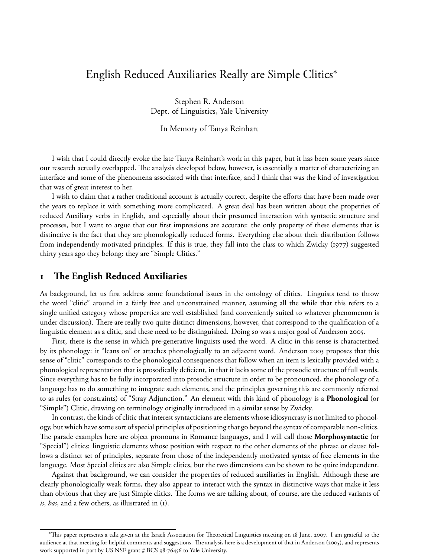# English Reduced Auxiliaries Really are Simple Clitics<sup>∗</sup>

Stephen R. Anderson Dept. of Linguistics, Yale University

In Memory of Tanya Reinhart

I wish that I could directly evoke the late Tanya Reinhart's work in this paper, but it has been some years since our research actually overlapped. The analysis developed below, however, is essentially a matter of characterizing an interface and some of the phenomena associated with that interface, and I think that was the kind of investigation that was of great interest to her.

I wish to claim that a rather traditional account is actually correct, despite the efforts that have been made over the years to replace it with something more complicated. A great deal has been written about the properties of reduced Auxiliary verbs in English, and especially about their presumed interaction with syntactic structure and processes, but I want to argue that our first impressions are accurate: the only property of these elements that is distinctive is the fact that they are phonologically reduced forms. Everything else about their distribution follows from independently motivated principles. If this is true, they fall into the class to which Zwicky (1977) suggested thirty years ago they belong: they are "Simple Clitics."

# **e English Reduced Auxiliaries**

As background, let us first address some foundational issues in the ontology of clitics. Linguists tend to throw the word "clitic" around in a fairly free and unconstrained manner, assuming all the while that this refers to a single unified category whose properties are well established (and conveniently suited to whatever phenomenon is under discussion). There are really two quite distinct dimensions, however, that correspond to the qualification of a linguistic element as a clitic, and these need to be distinguished. Doing so was a major goal of Anderson 2005.

First, there is the sense in which pre-generative linguists used the word. A clitic in this sense is characterized by its phonology: it "leans on" or attaches phonologically to an adjacent word. Anderson 2005 proposes that this sense of "clitic" corresponds to the phonological consequences that follow when an item is lexically provided with a phonological representation that is prosodically deficient, in that it lacks some of the prosodic structure of full words. Since everything has to be fully incorporated into prosodic structure in order to be pronounced, the phonology of a language has to do something to integrate such elements, and the principles governing this are commonly referred to as rules (or constraints) of "Stray Adjunction." An element with this kind of phonology is a **Phonological** (or "Simple") Clitic, drawing on terminology originally introduced in a similar sense by Zwicky.

In contrast, the kinds of clitic that interest syntacticians are elements whose idiosyncrasy is not limited to phonology, but which have some sort of special principles of positioning that go beyond the syntax of comparable non-clitics. e parade examples here are object pronouns in Romance languages, and I will call those **Morphosyntactic** (or "Special") clitics: linguistic elements whose position with respect to the other elements of the phrase or clause follows a distinct set of principles, separate from those of the independently motivated syntax of free elements in the language. Most Special clitics are also Simple clitics, but the two dimensions can be shown to be quite independent.

Against that background, we can consider the properties of reduced auxiliaries in English. Although these are clearly phonologically weak forms, they also appear to interact with the syntax in distinctive ways that make it less than obvious that they are just Simple clitics. The forms we are talking about, of course, are the reduced variants of *is*, *has*, and a few others, as illustrated in (1).

<sup>\*</sup>This paper represents a talk given at the Israeli Association for Theoretical Linguistics meeting on 18 June, 2007. I am grateful to the audience at that meeting for helpful comments and suggestions. The analysis here is a development of that in Anderson (2005), and represents work supported in part by US NSF grant # BCS 98-76456 to Yale University.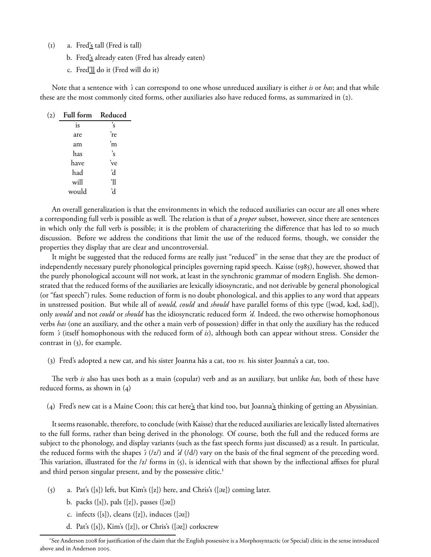- $(i)$  a. Fred's tall (Fred is tall)
	- b. Fred's already eaten (Fred has already eaten)
	- c. Fred'll do it (Fred will do it)

Note that a sentence with *'s* can correspond to one whose unreduced auxiliary is either *is* or *has*; and that while these are the most commonly cited forms, other auxiliaries also have reduced forms, as summarized in (2).

| (2) | Full form Reduced |               |
|-----|-------------------|---------------|
|     | is                | $\mathbf{s}'$ |
|     | are               | 're           |
|     | am                | 'n            |
|     | has               | 's            |
|     | have              | 've           |
|     | had               | 'd            |
|     | will              | 'll           |
|     | would             | R             |

An overall generalization is that the environments in which the reduced auxiliaries can occur are all ones where a corresponding full verb is possible as well. The relation is that of a *proper* subset, however, since there are sentences in which only the full verb is possible; it is the problem of characterizing the difference that has led to so much discussion. Before we address the conditions that limit the use of the reduced forms, though, we consider the properties they display that are clear and uncontroversial.

It might be suggested that the reduced forms are really just "reduced" in the sense that they are the product of independently necessary purely phonological principles governing rapid speech. Kaisse (1985), however, showed that the purely phonological account will not work, at least in the synchronic grammar of modern English. She demonstrated that the reduced forms of the auxiliaries are lexically idiosyncratic, and not derivable by general phonological (or "fast speech") rules. Some reduction of form is no doubt phonological, and this applies to any word that appears in unstressed position. But while all of *would, could* and *should* have parallel forms of this type ([wəd, kəd, šəd]), only *would* and not *could* or *should* has the idiosyncratic reduced form *'d*. Indeed, the two otherwise homophonous verbs *has* (one an auxiliary, and the other a main verb of possession) differ in that only the auxiliary has the reduced form *'s* (itself homophonous with the reduced form of *is*), although both can appear without stress. Consider the contrast in  $(3)$ , for example.

() Fred's adopted a new cat, and his sister Joanna hăs a cat, too *vs.* his sister Joanna's a cat, too.

e verb *is* also has uses both as a main (copular) verb and as an auxiliary, but unlike *has,* both of these have reduced forms, as shown in  $(4)$ 

(4) Fred's new cat is a Maine Coon; this cat here's that kind too, but Joanna's thinking of getting an Abyssinian.

It seems reasonable, therefore, to conclude (with Kaisse) that the reduced auxiliaries are lexically listed alternatives to the full forms, rather than being derived in the phonology. Of course, both the full and the reduced forms are subject to the phonology, and display variants (such as the fast speech forms just discussed) as a result. In particular, the reduced forms with the shapes *'s* (/z/) and *'d* (/d/) vary on the basis of the final segment of the preceding word. This variation, illustrated for the /z/ forms in  $(5)$ , is identical with that shown by the inflectional affixes for plural and third person singular present, and by the possessive clitic.

- $(5)$  a. Pat's  $([s])$  left, but Kim's  $([z])$  here, and Chris's  $([oz])$  coming later.
	- b. packs  $([s])$ , pals  $([z])$ , passes  $([az])$
	- c. infects  $([s])$ , cleans  $([z])$ , induces  $([oz])$
	- d. Pat's  $([s])$ , Kim's  $([z])$ , or Chris's  $([az])$  corkscrew

<sup>&</sup>lt;sup>1</sup>See Anderson 2008 for justification of the claim that the English possessive is a Morphosyntactic (or Special) clitic in the sense introduced above and in Anderson 2005.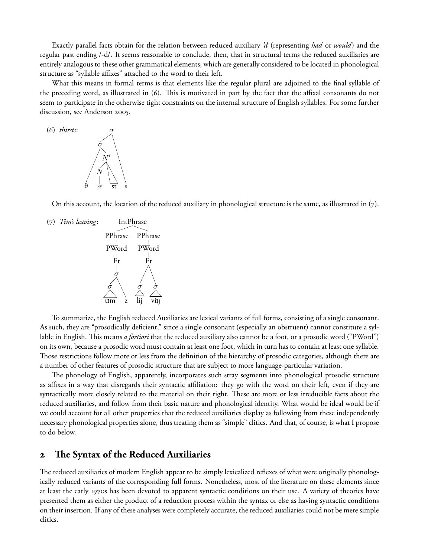Exactly parallel facts obtain for the relation between reduced auxiliary *'d* (representing *had* or *would*) and the regular past ending /-d/. It seems reasonable to conclude, then, that in structural terms the reduced auxiliaries are entirely analogous to these other grammatical elements, which are generally considered to be located in phonological structure as "syllable affixes" attached to the word to their left.

What this means in formal terms is that elements like the regular plural are adjoined to the final syllable of the preceding word, as illustrated in  $(6)$ . This is motivated in part by the fact that the affixal consonants do not seem to participate in the otherwise tight constraints on the internal structure of English syllables. For some further discussion, see Anderson 2005.



On this account, the location of the reduced auxiliary in phonological structure is the same, as illustrated in  $(7)$ .

() *Tim's leaving*: IntPhrase



To summarize, the English reduced Auxiliaries are lexical variants of full forms, consisting of a single consonant. As such, they are "prosodically deficient," since a single consonant (especially an obstruent) cannot constitute a syllable in English. This means *a fortiori* that the reduced auxiliary also cannot be a foot, or a prosodic word ("PWord") on its own, because a prosodic word must contain at least one foot, which in turn has to contain at least one syllable. Those restrictions follow more or less from the definition of the hierarchy of prosodic categories, although there are a number of other features of prosodic structure that are subject to more language-particular variation.

The phonology of English, apparently, incorporates such stray segments into phonological prosodic structure as affixes in a way that disregards their syntactic affiliation: they go with the word on their left, even if they are syntactically more closely related to the material on their right. These are more or less irreducible facts about the reduced auxiliaries, and follow from their basic nature and phonological identity. What would be ideal would be if we could account for all other properties that the reduced auxiliaries display as following from these independently necessary phonological properties alone, thus treating them as "simple" clitics. And that, of course, is what I propose to do below.

# **2** The Syntax of the Reduced Auxiliaries

The reduced auxiliaries of modern English appear to be simply lexicalized reflexes of what were originally phonologically reduced variants of the corresponding full forms. Nonetheless, most of the literature on these elements since at least the early 1970s has been devoted to apparent syntactic conditions on their use. A variety of theories have presented them as either the product of a reduction process within the syntax or else as having syntactic conditions on their insertion. If any of these analyses were completely accurate, the reduced auxiliaries could not be mere simple clitics.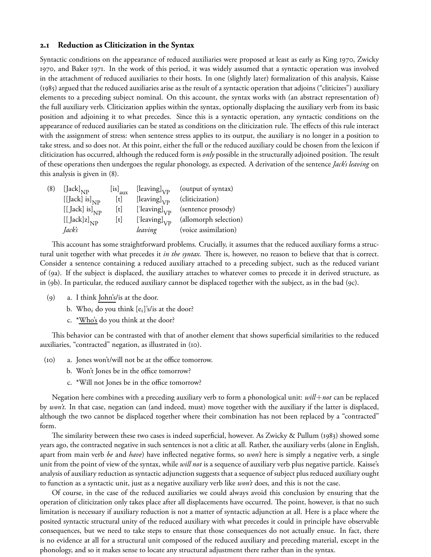#### **. Reduction as Cliticization in the Syntax**

Syntactic conditions on the appearance of reduced auxiliaries were proposed at least as early as King 1970, Zwicky 1970, and Baker 1971. In the work of this period, it was widely assumed that a syntactic operation was involved in the attachment of reduced auxiliaries to their hosts. In one (slightly later) formalization of this analysis, Kaisse (1985) argued that the reduced auxiliaries arise as the result of a syntactic operation that adjoins ("cliticizes") auxiliary elements to a preceding subject nominal. On this account, the syntax works with (an abstract representation of) the full auxiliary verb. Cliticization applies within the syntax, optionally displacing the auxiliary verb from its basic position and adjoining it to what precedes. Since this is a syntactic operation, any syntactic conditions on the appearance of reduced auxiliaries can be stated as conditions on the cliticization rule. The effects of this rule interact with the assignment of stress: when sentence stress applies to its output, the auxiliary is no longer in a position to take stress, and so does not. At this point, either the full or the reduced auxiliary could be chosen from the lexicon if cliticization has occurred, although the reduced form is *only* possible in the structurally adjoined position. The result of these operations then undergoes the regular phonology, as expected. A derivation of the sentence *Jack's leaving* on this analysis is given in  $(8)$ .

| (8) | $[\text{Jack}]_{\text{NP}}$    | $\left[$ is] <sub>aux</sub> | [leaving] $_{\rm VP}$  | (output of syntax)    |
|-----|--------------------------------|-----------------------------|------------------------|-----------------------|
|     | [[Jack] is] $_{\rm NP}$        | [t]                         | [leaving] $_{\rm VP}$  | (cliticization)       |
|     | [[ $Jack$ ] is] <sub>NP</sub>  | [t]                         | ['leaving] $_{\rm VP}$ | (sentence prosody)    |
|     | $[[\text{Jack}]z]_{\text{NP}}$ | t                           | ['leaving] $_{\rm VP}$ | (allomorph selection) |
|     | Jack's                         |                             | leaving                | (voice assimilation)  |

This account has some straightforward problems. Crucially, it assumes that the reduced auxiliary forms a structural unit together with what precedes it *in the syntax*. There is, however, no reason to believe that that is correct. Consider a sentence containing a reduced auxiliary attached to a preceding subject, such as the reduced variant of (a). If the subject is displaced, the auxiliary attaches to whatever comes to precede it in derived structure, as in (9b). In particular, the reduced auxiliary cannot be displaced together with the subject, as in the bad (9c).

- () a. I think John's/is at the door.
	- b. Who<sub>i</sub> do you think  $[e_i]$ 's/is at the door?
	- c. \*Who's do you think at the door?

This behavior can be contrasted with that of another element that shows superficial similarities to the reduced auxiliaries, "contracted" negation, as illustrated in (10).

- () a. Jones won't/will not be at the office tomorrow.
	- b. Won't Jones be in the office tomorrow?
	- c. \*Will not Jones be in the office tomorrow?

Negation here combines with a preceding auxiliary verb to form a phonological unit: *will*+*not* can be replaced by *won't*. In that case, negation can (and indeed, must) move together with the auxiliary if the latter is displaced, although the two cannot be displaced together where their combination has not been replaced by a "contracted" form.

The similarity between these two cases is indeed superficial, however. As Zwicky & Pullum (1983) showed some years ago, the contracted negative in such sentences is not a clitic at all. Rather, the auxiliary verbs (alone in English, apart from main verb *be* and *have*) have inflected negative forms, so *won't* here is simply a negative verb, a single unit from the point of view of the syntax, while *will not* is a sequence of auxiliary verb plus negative particle. Kaisse's analysis of auxiliary reduction as syntactic adjunction suggests that a sequence of subject plus reduced auxiliary ought to function as a syntactic unit, just as a negative auxiliary verb like *won't* does, and this is not the case.

Of course, in the case of the reduced auxiliaries we could always avoid this conclusion by ensuring that the operation of cliticization only takes place after all displacements have occurred. The point, however, is that no such limitation is necessary if auxiliary reduction is not a matter of syntactic adjunction at all. Here is a place where the posited syntactic structural unity of the reduced auxiliary with what precedes it could in principle have observable consequences, but we need to take steps to ensure that those consequences do not actually ensue. In fact, there is no evidence at all for a structural unit composed of the reduced auxiliary and preceding material, except in the phonology, and so it makes sense to locate any structural adjustment there rather than in the syntax.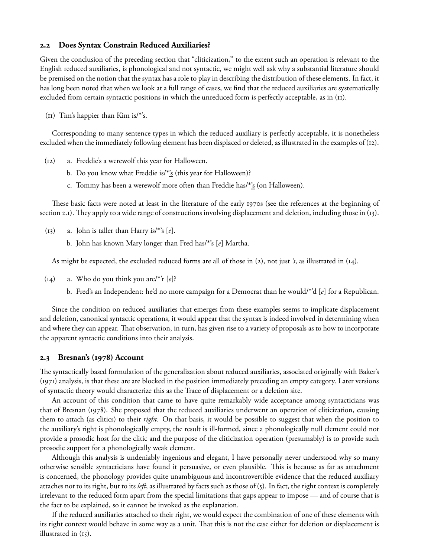#### **. Does Syntax Constrain Reduced Auxiliaries?**

Given the conclusion of the preceding section that "cliticization," to the extent such an operation is relevant to the English reduced auxiliaries, is phonological and not syntactic, we might well ask why a substantial literature should be premised on the notion that the syntax has a role to play in describing the distribution of these elements. In fact, it has long been noted that when we look at a full range of cases, we find that the reduced auxiliaries are systematically excluded from certain syntactic positions in which the unreduced form is perfectly acceptable, as in (II).

 $(n)$  Tim's happier than Kim is/\*'s.

Corresponding to many sentence types in which the reduced auxiliary is perfectly acceptable, it is nonetheless excluded when the immediately following element has been displaced or deleted, as illustrated in the examples of  $(12)$ .

- $(12)$  a. Freddie's a werewolf this year for Halloween.
	- b. Do you know what Freddie is/ $*_{S}^{s}$  (this year for Halloween)?
	- c. Tommy has been a werewolf more often than Freddie has/ $*_{S}^{*}$  (on Halloween).

These basic facts were noted at least in the literature of the early 1970s (see the references at the beginning of section 2.1). They apply to a wide range of constructions involving displacement and deletion, including those in  $(13)$ .

- $(13)$  a. John is taller than Harry is/\*'s  $[e]$ .
	- b. John has known Mary longer than Fred has/\*'s [*e*] Martha.

As might be expected, the excluded reduced forms are all of those in (2), not just *'s*, as illustrated in (14).

- (14) a. Who do you think you are/\*'r  $[e]$ ?
	- b. Fred's an Independent: he'd no more campaign for a Democrat than he would/\*'d [*e*] for a Republican.

Since the condition on reduced auxiliaries that emerges from these examples seems to implicate displacement and deletion, canonical syntactic operations, it would appear that the syntax is indeed involved in determining when and where they can appear. That observation, in turn, has given rise to a variety of proposals as to how to incorporate the apparent syntactic conditions into their analysis.

#### 2.3 Bresnan's (1978) Account

The syntactically based formulation of the generalization about reduced auxiliaries, associated originally with Baker's (1971) analysis, is that these are are blocked in the position immediately preceding an empty category. Later versions of syntactic theory would characterize this as the Trace of displacement or a deletion site.

An account of this condition that came to have quite remarkably wide acceptance among syntacticians was that of Bresnan (1978). She proposed that the reduced auxiliaries underwent an operation of cliticization, causing them to attach (as clitics) to their *right*. On that basis, it would be possible to suggest that when the position to the auxiliary's right is phonologically empty, the result is ill-formed, since a phonologically null element could not provide a prosodic host for the clitic and the purpose of the cliticization operation (presumably) is to provide such prosodic support for a phonologically weak element.

Although this analysis is undeniably ingenious and elegant, I have personally never understood why so many otherwise sensible syntacticians have found it persuasive, or even plausible. This is because as far as attachment is concerned, the phonology provides quite unambiguous and incontrovertible evidence that the reduced auxiliary attaches not to its right, but to its *left*, as illustrated by facts such as those of (). In fact, the right context is completely irrelevant to the reduced form apart from the special limitations that gaps appear to impose — and of course that is the fact to be explained, so it cannot be invoked as the explanation.

If the reduced auxiliaries attached to their right, we would expect the combination of one of these elements with its right context would behave in some way as a unit. That this is not the case either for deletion or displacement is illustrated in  $(i5)$ .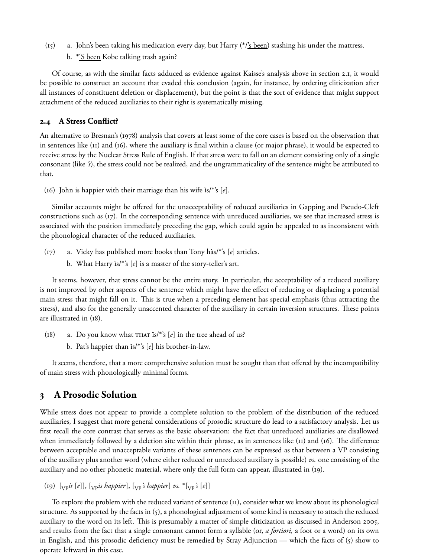- $(i5)$  a. John's been taking his medication every day, but Harry (\*/ $'s$  been) stashing his under the mattress.
	- b. <u>\*'S been</u> Kobe talking trash again?

Of course, as with the similar facts adduced as evidence against Kaisse's analysis above in section 2.1, it would be possible to construct an account that evaded this conclusion (again, for instance, by ordering cliticization after all instances of constituent deletion or displacement), but the point is that the sort of evidence that might support attachment of the reduced auxiliaries to their right is systematically missing.

### **. A Stress Conflict?**

An alternative to Bresnan's (1978) analysis that covers at least some of the core cases is based on the observation that in sentences like  $(11)$  and  $(16)$ , where the auxiliary is final within a clause (or major phrase), it would be expected to receive stress by the Nuclear Stress Rule of English. If that stress were to fall on an element consisting only of a single consonant (like *'s*), the stress could not be realized, and the ungrammaticality of the sentence might be attributed to that.

(16) John is happier with their marriage than his wife  $\frac{\delta}{\delta}$  [*e*].

Similar accounts might be offered for the unacceptability of reduced auxiliaries in Gapping and Pseudo-Cleft constructions such as  $(r7)$ . In the corresponding sentence with unreduced auxiliaries, we see that increased stress is associated with the position immediately preceding the gap, which could again be appealed to as inconsistent with the phonological character of the reduced auxiliaries.

- (17) a. Vicky has published more books than Tony hàs/\*'s [*e*] articles.
	- b. What Harry ìs/\*'s [*e*] is a master of the story-teller's art.

It seems, however, that stress cannot be the entire story. In particular, the acceptability of a reduced auxiliary is not improved by other aspects of the sentence which might have the effect of reducing or displacing a potential main stress that might fall on it. This is true when a preceding element has special emphasis (thus attracting the stress), and also for the generally unaccented character of the auxiliary in certain inversion structures. These points are illustrated in  $(18)$ .

 $(18)$  a. Do you know what  $THAT$  is/\*'s  $[e]$  in the tree ahead of us? b. Pat's happier than is/\*'s [e] his brother-in-law.

It seems, therefore, that a more comprehensive solution must be sought than that offered by the incompatibility of main stress with phonologically minimal forms.

# **A Prosodic Solution**

While stress does not appear to provide a complete solution to the problem of the distribution of the reduced auxiliaries, I suggest that more general considerations of prosodic structure do lead to a satisfactory analysis. Let us first recall the core contrast that serves as the basic observation: the fact that unreduced auxiliaries are disallowed when immediately followed by a deletion site within their phrase, as in sentences like ( $\text{I1}$ ) and ( $\text{I6}$ ). The difference between acceptable and unacceptable variants of these sentences can be expressed as that between a VP consisting of the auxiliary plus another word (where either reduced or unreduced auxiliary is possible) *vs*. one consisting of the auxiliary and no other phonetic material, where only the full form can appear, illustrated in (19).

 $(p)$  [<sub>VP</sub><sup>*is*</sup> [*e*]], [<sub>VP</sub>*is happier*], [<sub>VP</sub><sup>*'s happier*] *vs.*  $*(p^2)$ </sup>

To explore the problem with the reduced variant of sentence (II), consider what we know about its phonological structure. As supported by the facts in  $(5)$ , a phonological adjustment of some kind is necessary to attach the reduced auxiliary to the word on its left. This is presumably a matter of simple cliticization as discussed in Anderson 2005, and results from the fact that a single consonant cannot form a syllable (or, *a fortiori,* a foot or a word) on its own in English, and this prosodic deficiency must be remedied by Stray Adjunction — which the facts of  $(5)$  show to operate leftward in this case.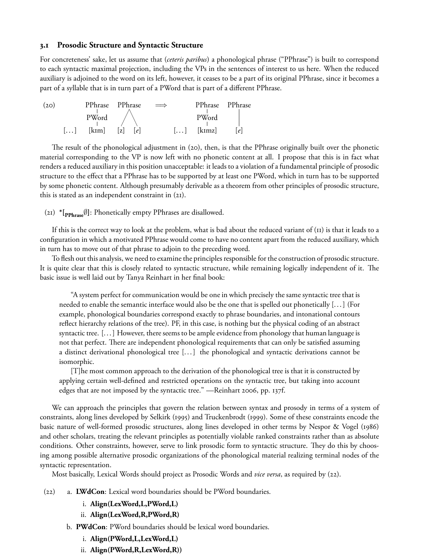#### **. Prosodic Structure and Syntactic Structure**

For concreteness' sake, let us assume that (*ceteris paribus*) a phonological phrase ("PPhrase") is built to correspond to each syntactic maximal projection, including the VPs in the sentences of interest to us here. When the reduced auxiliary is adjoined to the word on its left, however, it ceases to be a part of its original PPhrase, since it becomes a part of a syllable that is in turn part of a PWord that is part of a different PPhrase.

| (20) |                       |       | PPhrase PPhrase | $\implies$            |        | PPhrase PPhrase |
|------|-----------------------|-------|-----------------|-----------------------|--------|-----------------|
|      |                       | PWord |                 |                       | PWord  |                 |
|      | $\left[\ldots\right]$ | [kim] | z <br> e        | $\left[\ldots\right]$ | [kɪmz] | e               |

The result of the phonological adjustment in  $(20)$ , then, is that the PPhrase originally built over the phonetic material corresponding to the VP is now left with no phonetic content at all. I propose that this is in fact what renders a reduced auxiliary in this position unacceptable: it leads to a violation of a fundamental principle of prosodic structure to the effect that a PPhrase has to be supported by at least one PWord, which in turn has to be supported by some phonetic content. Although presumably derivable as a theorem from other principles of prosodic structure, this is stated as an independent constraint in  $(2I)$ .

() **\*[PPhrase**∅**]**: Phonetically empty PPhrases are disallowed.

If this is the correct way to look at the problem, what is bad about the reduced variant of  $\overline{u}$  is that it leads to a configuration in which a motivated PPhrase would come to have no content apart from the reduced auxiliary, which in turn has to move out of that phrase to adjoin to the preceding word.

To flesh out this analysis, we need to examine the principles responsible for the construction of prosodic structure. It is quite clear that this is closely related to syntactic structure, while remaining logically independent of it. The basic issue is well laid out by Tanya Reinhart in her final book:

"A system perfect for communication would be one in which precisely the same syntactic tree that is needed to enable the semantic interface would also be the one that is spelled out phonetically [... ] (For example, phonological boundaries correspond exactly to phrase boundaries, and intonational contours reflect hierarchy relations of the tree). PF, in this case, is nothing but the physical coding of an abstract syntactic tree. [... ] However, there seems to be ample evidence from phonology that human language is not that perfect. There are independent phonological requirements that can only be satisfied assuming a distinct derivational phonological tree [... ] the phonological and syntactic derivations cannot be isomorphic.

[T]he most common approach to the derivation of the phonological tree is that it is constructed by applying certain well-defined and restricted operations on the syntactic tree, but taking into account edges that are not imposed by the syntactic tree." —Reinhart 2006, pp. 137f.

We can approach the principles that govern the relation between syntax and prosody in terms of a system of constraints, along lines developed by Selkirk (1995) and Truckenbrodt (1999). Some of these constraints encode the basic nature of well-formed prosodic structures, along lines developed in other terms by Nespor & Vogel (1986) and other scholars, treating the relevant principles as potentially violable ranked constraints rather than as absolute conditions. Other constraints, however, serve to link prosodic form to syntactic structure. They do this by choosing among possible alternative prosodic organizations of the phonological material realizing terminal nodes of the syntactic representation.

Most basically, Lexical Words should project as Prosodic Words and *vice versa*, as required by (22).

- () a. **LWdCon**: Lexical word boundaries should be PWord boundaries.
	- i. **Align(LexWord,L,PWord,L)**
	- ii. **Align(LexWord,R,PWord,R)**
	- b. **PWdCon**: PWord boundaries should be lexical word boundaries.
		- i. **Align(PWord,L,LexWord,L)**
		- ii. **Align(PWord,R,LexWord,R))**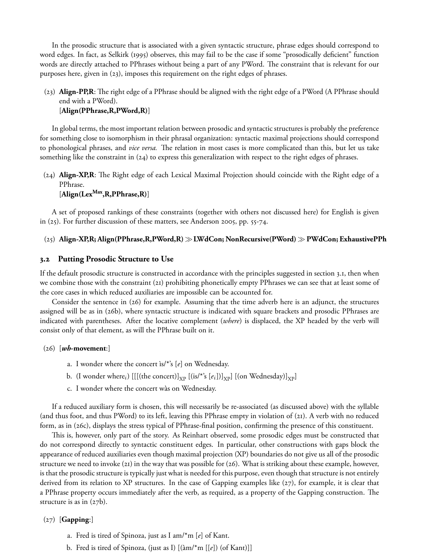In the prosodic structure that is associated with a given syntactic structure, phrase edges should correspond to word edges. In fact, as Selkirk (1995) observes, this may fail to be the case if some "prosodically deficient" function words are directly attached to PPhrases without being a part of any PWord. The constraint that is relevant for our purposes here, given in  $(23)$ , imposes this requirement on the right edges of phrases.

# (23) **Align-PP,R**: The right edge of a PPhrase should be aligned with the right edge of a PWord (A PPhrase should end with a PWord). [**Align(PPhrase,R,PWord,R)**]

In global terms, the most important relation between prosodic and syntactic structures is probably the preference for something close to isomorphism in their phrasal organization: syntactic maximal projections should correspond to phonological phrases, and *vice versa*. The relation in most cases is more complicated than this, but let us take something like the constraint in (24) to express this generalization with respect to the right edges of phrases.

(24) **Align-XP,R**: The Right edge of each Lexical Maximal Projection should coincide with the Right edge of a PPhrase.

[**Align(LexMax,R,PPhrase,R)**]

A set of proposed rankings of these constraints (together with others not discussed here) for English is given in  $(25)$ . For further discussion of these matters, see Anderson 2005, pp. 55-74.

# () **Align-XP,R; Align(PPhrase,R,PWord,R)**≫**LWdCon; NonRecursive(PWord)**≫**PWdCon; ExhaustivePPh**

### **. Putting Prosodic Structure to Use**

If the default prosodic structure is constructed in accordance with the principles suggested in section 3.1, then when we combine those with the constraint  $(2i)$  prohibiting phonetically empty PPhrases we can see that at least some of the core cases in which reduced auxiliaries are impossible can be accounted for.

Consider the sentence in  $(26)$  for example. Assuming that the time adverb here is an adjunct, the structures assigned will be as in (26b), where syntactic structure is indicated with square brackets and prosodic PPhrases are indicated with parentheses. After the locative complement (*where*) is displaced, the XP headed by the verb will consist only of that element, as will the PPhrase built on it.

#### $(26)$  [*wh*-movement:]

- a. I wonder where the concert ìs/\*'s [*e*] on Wednesday.
- b. (I wonder where<sub>i</sub>)  $[[[(\text{the concert})]_{XP}][(\text{is}/*)^*s[e_i])]_{XP}][(\text{on Wednesday})]_{XP}]$
- c. I wonder where the concert wàs on Wednesday.

If a reduced auxiliary form is chosen, this will necessarily be re-associated (as discussed above) with the syllable (and thus foot, and thus PWord) to its left, leaving this PPhrase empty in violation of  $(2I)$ . A verb with no reduced form, as in (26c), displays the stress typical of PPhrase-final position, confirming the presence of this constituent.

This is, however, only part of the story. As Reinhart observed, some prosodic edges must be constructed that do not correspond directly to syntactic constituent edges. In particular, other constructions with gaps block the appearance of reduced auxiliaries even though maximal projection (XP) boundaries do not give us all of the prosodic structure we need to invoke (21) in the way that was possible for (26). What is striking about these example, however, is that the prosodic structure is typically just what is needed for this purpose, even though that structure is not entirely derived from its relation to XP structures. In the case of Gapping examples like  $(27)$ , for example, it is clear that a PPhrase property occurs immediately after the verb, as required, as a property of the Gapping construction. The structure is as in  $(27b)$ .

### $(27)$  [Gapping:]

- a. Fred is tired of Spinoza, just as I am/\*m [*e*] of Kant.
- b. Fred is tired of Spinoza, (just as I) [(àm/\*m [[*e*]) (of Kant)]]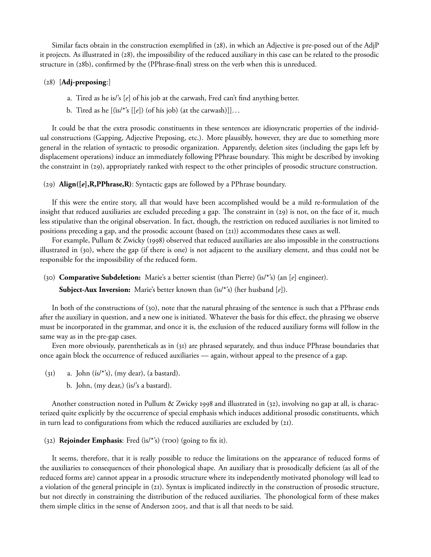Similar facts obtain in the construction exemplified in  $(28)$ , in which an Adjective is pre-posed out of the AdjP it projects. As illustrated in (28), the impossibility of the reduced auxiliary in this case can be related to the prosodic structure in (28b), confirmed by the (PPhrase-final) stress on the verb when this is unreduced.

### () [**Adj-preposing**:]

- a. Tired as he is/'s [*e*] of his job at the carwash, Fred can't find anything better.
- b. Tired as he [(ìs/\*'s [[*e*]) (of his job) (at the carwash)]]...

It could be that the extra prosodic constituents in these sentences are idiosyncratic properties of the individual constructions (Gapping, Adjective Preposing, etc.). More plausibly, however, they are due to something more general in the relation of syntactic to prosodic organization. Apparently, deletion sites (including the gaps left by displacement operations) induce an immediately following PPhrase boundary. This might be described by invoking the constraint in (29), appropriately ranked with respect to the other principles of prosodic structure construction.

() **Align([***e***],R,PPhrase,R)**: Syntactic gaps are followed by a PPhrase boundary.

If this were the entire story, all that would have been accomplished would be a mild re-formulation of the insight that reduced auxiliaries are excluded preceding a gap. The constraint in  $(29)$  is not, on the face of it, much less stipulative than the original observation. In fact, though, the restriction on reduced auxiliaries is not limited to positions preceding a gap, and the prosodic account (based on  $(21)$ ) accommodates these cases as well.

For example, Pullum & Zwicky (1998) observed that reduced auxiliaries are also impossible in the constructions illustrated in (30), where the gap (if there is one) is not adjacent to the auxiliary element, and thus could not be responsible for the impossibility of the reduced form.

() **Comparative Subdeletion:** Marie's a better scientist (than Pierre) (ìs/\*'s) (an [*e*] engineer).

**Subject-Aux Inversion:** Marie's better known than (ìs/\*'s) (her husband [*e*]).

In both of the constructions of  $(30)$ , note that the natural phrasing of the sentence is such that a PPhrase ends after the auxiliary in question, and a new one is initiated. Whatever the basis for this effect, the phrasing we observe must be incorporated in the grammar, and once it is, the exclusion of the reduced auxiliary forms will follow in the same way as in the pre-gap cases.

Even more obviously, parentheticals as in  $(31)$  are phrased separately, and thus induce PPhrase boundaries that once again block the occurrence of reduced auxiliaries — again, without appeal to the presence of a gap.

- $(3I)$  a. John  $(is/*)$ ,  $(my$  dear),  $(a$  bastard).
	- b. John, (my dear,) (is/'s a bastard).

Another construction noted in Pullum & Zwicky 1998 and illustrated in (32), involving no gap at all, is characterized quite explicitly by the occurrence of special emphasis which induces additional prosodic constituents, which in turn lead to configurations from which the reduced auxiliaries are excluded by  $(21)$ .

# (32) **Rejoinder Emphasis**: Fred (is/\*'s) (roo) (going to fix it).

It seems, therefore, that it is really possible to reduce the limitations on the appearance of reduced forms of the auxiliaries to consequences of their phonological shape. An auxiliary that is prosodically deficient (as all of the reduced forms are) cannot appear in a prosodic structure where its independently motivated phonology will lead to a violation of the general principle in  $(21)$ . Syntax is implicated indirectly in the construction of prosodic structure, but not directly in constraining the distribution of the reduced auxiliaries. The phonological form of these makes them simple clitics in the sense of Anderson 2005, and that is all that needs to be said.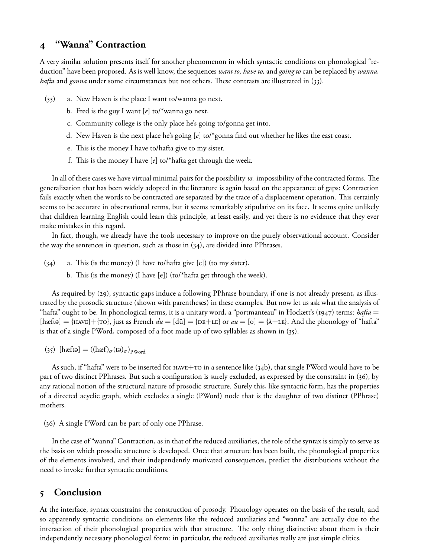# **"Wanna" Contraction**

A very similar solution presents itself for another phenomenon in which syntactic conditions on phonological "reduction" have been proposed. As is well know, the sequences *want to, have to,* and *going to* can be replaced by *wanna, hafta* and *gonna* under some circumstances but not others. These contrasts are illustrated in (33).

- $(33)$  a. New Haven is the place I want to/wanna go next.
	- b. Fred is the guy I want [*e*] to/\*wanna go next.
	- c. Community college is the only place he's going to/gonna get into.
	- d. New Haven is the next place he's going [*e*] to/\*gonna find out whether he likes the east coast.
	- e. This is the money I have to/hafta give to my sister.
	- f. This is the money I have  $[e]$  to/\*hafta get through the week.

In all of these cases we have virtual minimal pairs for the possibility *vs.* impossibility of the contracted forms. The generalization that has been widely adopted in the literature is again based on the appearance of gaps: Contraction fails exactly when the words to be contracted are separated by the trace of a displacement operation. This certainly seems to be accurate in observational terms, but it seems remarkably stipulative on its face. It seems quite unlikely that children learning English could learn this principle, at least easily, and yet there is no evidence that they ever make mistakes in this regard.

In fact, though, we already have the tools necessary to improve on the purely observational account. Consider the way the sentences in question, such as those in  $(34)$ , are divided into PPhrases.

- $(34)$  a. This (is the money) (I have to/hafta give [e]) (to my sister).
	- b. This (is the money) (I have  $[e]$ ) (to/\*hafta get through the week).

As required by (29), syntactic gaps induce a following PPhrase boundary, if one is not already present, as illustrated by the prosodic structure (shown with parentheses) in these examples. But now let us ask what the analysis of "hafta" ought to be. In phonological terms, it is a unitary word, a "portmanteau" in Hockett's (1947) terms: *hafta* =  $[hæft0] = {HAVE} + {To},$  just as French  $du = [d\ddot{u}] = {DE+LE}$  or  $au = [o] = {A+LE}.$  And the phonology of "hafta" is that of a single PWord, composed of a foot made up of two syllables as shown in  $(35)$ .

(35)  $[\text{hæftə}] = ((\text{hæf})_{\sigma}(\text{tə})_{\sigma})_{\text{pWord}}$ 

As such, if "hafta" were to be inserted for <code>HAVE+TO</code> in a sentence like (34b), that single PWord would have to be part of two distinct PPhrases. But such a configuration is surely excluded, as expressed by the constraint in (36), by any rational notion of the structural nature of prosodic structure. Surely this, like syntactic form, has the properties of a directed acyclic graph, which excludes a single (PWord) node that is the daughter of two distinct (PPhrase) mothers.

(36) A single PWord can be part of only one PPhrase.

In the case of "wanna" Contraction, as in that of the reduced auxiliaries, the role of the syntax is simply to serve as the basis on which prosodic structure is developed. Once that structure has been built, the phonological properties of the elements involved, and their independently motivated consequences, predict the distributions without the need to invoke further syntactic conditions.

# **Conclusion**

At the interface, syntax constrains the construction of prosody. Phonology operates on the basis of the result, and so apparently syntactic conditions on elements like the reduced auxiliaries and "wanna" are actually due to the interaction of their phonological properties with that structure. The only thing distinctive about them is their independently necessary phonological form: in particular, the reduced auxiliaries really are just simple clitics.